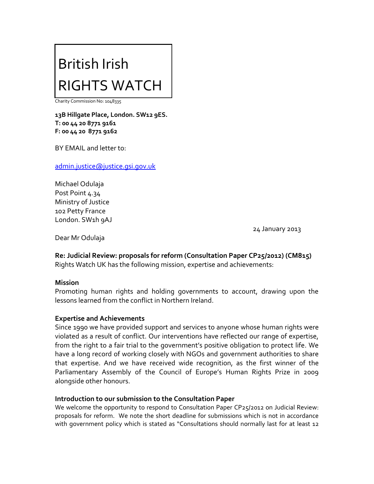# British Irish RIGHTS WATCH

Charity Commission No: 1048335

**13B Hillgate Place, London. SW12 9ES. T: 00 44 20 8771 9161 F: 00 44 20 8771 9162**

BY EMAIL and letter to:

[admin.justice@justice.gsi.gov.uk](mailto:admin.justice@justice.gsi.gov.uk)

Michael Odulaja Post Point 4.34 Ministry of Justice 102 Petty France London. SW1h 9AJ

24 January 2013

Dear Mr Odulaja

**Re: Judicial Review: proposals for reform (Consultation Paper CP25/2012) (CM815)** Rights Watch UK has the following mission, expertise and achievements:

#### **Mission**

Promoting human rights and holding governments to account, drawing upon the lessons learned from the conflict in Northern Ireland.

#### **Expertise and Achievements**

Since 1990 we have provided support and services to anyone whose human rights were violated as a result of conflict. Our interventions have reflected our range of expertise, from the right to a fair trial to the government's positive obligation to protect life. We have a long record of working closely with NGOs and government authorities to share that expertise. And we have received wide recognition, as the first winner of the Parliamentary Assembly of the Council of Europe's Human Rights Prize in 2009 alongside other honours.

#### **Introduction to our submission to the Consultation Paper**

We welcome the opportunity to respond to Consultation Paper CP25/2012 on Judicial Review: proposals for reform. We note the short deadline for submissions which is not in accordance with government policy which is stated as "Consultations should normally last for at least 12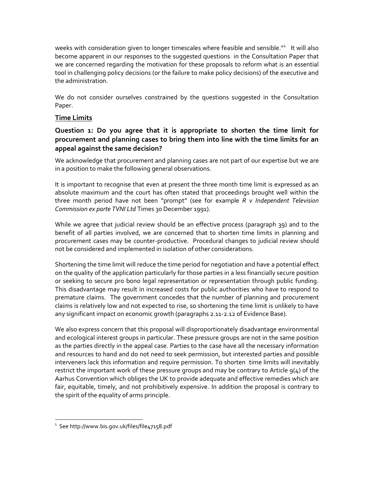weeks with consideration given to longer timescales where feasible and sensible."<sup>1</sup> It will also become apparent in our responses to the suggested questions in the Consultation Paper that we are concerned regarding the motivation for these proposals to reform what is an essential tool in challenging policy decisions (or the failure to make policy decisions) of the executive and the administration.

We do not consider ourselves constrained by the questions suggested in the Consultation Paper.

# **Time Limits**

# **Question 1: Do you agree that it is appropriate to shorten the time limit for procurement and planning cases to bring them into line with the time limits for an appeal against the same decision?**

We acknowledge that procurement and planning cases are not part of our expertise but we are in a position to make the following general observations.

It is important to recognise that even at present the three month time limit is expressed as an absolute maximum and the court has often stated that proceedings brought well within the three month period have not been "prompt" (see for example *R v Independent Television Commission ex parte TVNI Ltd* Times 30 December 1991).

While we agree that judicial review should be an effective process (paragraph 39) and to the benefit of all parties involved, we are concerned that to shorten time limits in planning and procurement cases may be counter-productive. Procedural changes to judicial review should not be considered and implemented in isolation of other considerations.

Shortening the time limit will reduce the time period for negotiation and have a potential effect on the quality of the application particularly for those parties in a less financially secure position or seeking to secure pro bono legal representation or representation through public funding. This disadvantage may result in increased costs for public authorities who have to respond to premature claims. The government concedes that the number of planning and procurement claims is relatively low and not expected to rise, so shortening the time limit is unlikely to have any significant impact on economic growth (paragraphs 2.11-2.12 of Evidence Base).

We also express concern that this proposal will disproportionately disadvantage environmental and ecological interest groups in particular. These pressure groups are not in the same position as the parties directly in the appeal case. Parties to the case have all the necessary information and resources to hand and do not need to seek permission, but interested parties and possible interveners lack this information and require permission. To shorten time limits will inevitably restrict the important work of these pressure groups and may be contrary to Article  $q(4)$  of the Aarhus Convention which obliges the UK to provide adequate and effective remedies which are fair, equitable, timely, and not prohibitively expensive. In addition the proposal is contrary to the spirit of the equality of arms principle.

 $^{\rm ^{\rm 1}}$  See http://www.bis.gov.uk/files/file47158.pdf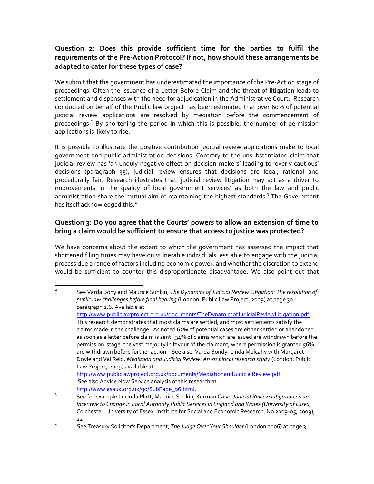# **Question 2: Does this provide sufficient time for the parties to fulfil the requirements of the Pre-Action Protocol? If not, how should these arrangements be adapted to cater for these types of case?**

We submit that the government has underestimated the importance of the Pre-Action stage of proceedings. Often the issuance of a Letter Before Claim and the threat of litigation leads to settlement and dispenses with the need for adjudication in the Administrative Court. Research conducted on behalf of the Public law project has been estimated that over 60% of potential judicial review applications are resolved by mediation before the commencement of proceedings.<sup>2</sup> By shortening the period in which this is possible, the number of permission applications is likely to rise.

It is possible to illustrate the positive contribution judicial review applications make to local government and public administration decisions. Contrary to the unsubstantiated claim that judicial review has 'an unduly negative effect on decision-makers' leading to 'overly cautious' decisions (paragraph 35), judicial review ensures that decisions are legal, rational and procedurally fair. Research illustrates that 'judicial review litigation may act as a driver to improvements in the quality of local government services' as both the law and public administration share the mutual aim of maintaining the highest standards.<sup>3</sup> The Government has itself acknowledged this.<sup>4</sup>

# **Question 3: Do you agree that the Courts' powers to allow an extension of time to bring a claim would be sufficient to ensure that access to justice was protected?**

We have concerns about the extent to which the government has assessed the impact that shortened filing times may have on vulnerable individuals less able to engage with the judicial process due a range of factors including economic power, and whether the discretion to extend would be sufficient to counter this disproportionate disadvantage. We also point out that

2 See Varda Bony and Maurice Sunkin, *The Dynamics of Judicial Review Litigation: The resolution of public law challenges before final hearing* (London: Public Law Project, 2009) at page 30 paragraph 2.6. Available at <http://www.publiclawproject.org.uk/documents/TheDynamicsofJudicialReviewLitigation.pdf> This research demonstrates that most claims are settled, and most settlements satisfy the claims made in the challenge. As noted 62% of potential cases are either settled or abandoned as soon as a letter before claim is sent. 34% of claims which are issued are withdrawn before the permission stage, the vast majority in favour of the claimant; where permission is granted 56% are withdrawn before further action. See also Varda Bondy, Linda Mulcahy with Margaret Doyle and Val Reid, *Mediation and Judicial Review: An empirical research study* (London: Public Law Project, 2009) available at <http://www.publiclawproject.org.uk/documents/MediationandJudicialReview.pdf> See also Advice Now Service analysis of this research at [http://www.asauk.org.uk/go/SubPage\\_96.html.](http://www.asauk.org.uk/go/SubPage_96.html)

<sup>3</sup> See for example Lucinda Platt, Maurice Sunkin, Kerman Calvo *Judicial Review Litigation as an Incentive to Change in Local Authority Public Services in England and Wales (University of Essex,*  Colchester: University of Essex, Institute for Social and Economic Research, No 2009-05, 2009), 22

<sup>4</sup> See Treasury Solicitor's Department, *The Judge Over Your Shoulder* (London 2006) at page 3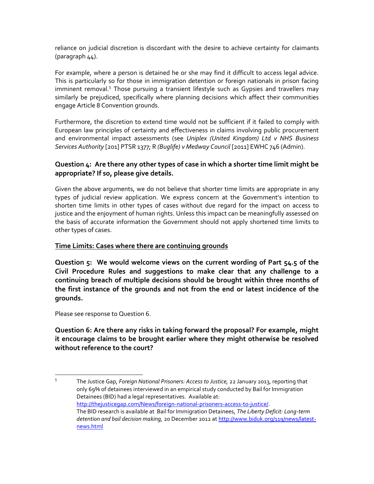reliance on judicial discretion is discordant with the desire to achieve certainty for claimants (paragraph 44).

For example, where a person is detained he or she may find it difficult to access legal advice. This is particularly so for those in immigration detention or foreign nationals in prison facing imminent removal.<sup>5</sup> Those pursuing a transient lifestyle such as Gypsies and travellers may similarly be prejudiced, specifically where planning decisions which affect their communities engage Article 8 Convention grounds.

Furthermore, the discretion to extend time would not be sufficient if it failed to comply with European law principles of certainty and effectiveness in claims involving public procurement and environmental impact assessments (see *Uniplex (United Kingdom) Ltd v NHS Business Services Authority* [201] PTSR 1377; R *(Buglife) v Medway Council* [2011] EWHC 746 (Admin).

## **Question 4: Are there any other types of case in which a shorter time limit might be appropriate? If so, please give details.**

Given the above arguments, we do not believe that shorter time limits are appropriate in any types of judicial review application. We express concern at the Government's intention to shorten time limits in other types of cases without due regard for the impact on access to justice and the enjoyment of human rights. Unless this impact can be meaningfully assessed on the basis of accurate information the Government should not apply shortened time limits to other types of cases.

## **Time Limits: Cases where there are continuing grounds**

**Question 5: We would welcome views on the current wording of Part 54.5 of the Civil Procedure Rules and suggestions to make clear that any challenge to a continuing breach of multiple decisions should be brought within three months of the first instance of the grounds and not from the end or latest incidence of the grounds.**

Please see response to Question 6.

**Question 6: Are there any risks in taking forward the proposal? For example, might it encourage claims to be brought earlier where they might otherwise be resolved without reference to the court?**

<sup>-&</sup>lt;br>5 The Justice Gap, *Foreign National Prisoners: Access to Justice,* 22 January 2013, reporting that only 69% of detainees interviewed in an empirical study conducted by Bail for Immigration Detainees (BID) had a legal representatives. Available at: [http://thejusticegap.com/News/foreign-national-prisoners-access-to-justice/.](http://thejusticegap.com/News/foreign-national-prisoners-access-to-justice/) The BID research is available at Bail for Immigration Detainees, *The Liberty Deficit: Long-term detention and bail decision making,* 20 December 2012 at [http://www.biduk.org/119/news/latest](http://www.biduk.org/119/news/latest-news.html)[news.html](http://www.biduk.org/119/news/latest-news.html)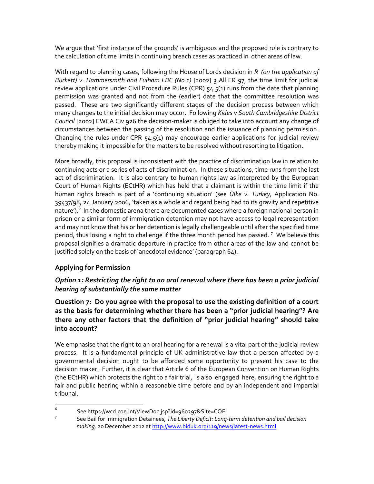We argue that 'first instance of the grounds' is ambiguous and the proposed rule is contrary to the calculation of time limits in continuing breach cases as practiced in other areas of law.

With regard to planning cases, following the House of Lords decision in *R (on the application of Burkett) v. Hammersmith and Fulham LBC (No.1)* [2002] 3 All ER 97, the time limit for judicial review applications under Civil Procedure Rules (CPR) 54.5(1) runs from the date that planning permission was granted and not from the (earlier) date that the committee resolution was passed. These are two significantly different stages of the decision process between which many changes to the initial decision may occur. Following *Kides v South Cambridgeshire District Council* [2002] EWCA Civ 926 the decision-maker is obliged to take into account any change of circumstances between the passing of the resolution and the issuance of planning permission. Changing the rules under CPR 54.5(1) may encourage earlier applications for judicial review thereby making it impossible for the matters to be resolved without resorting to litigation.

More broadly, this proposal is inconsistent with the practice of discrimination law in relation to continuing acts or a series of acts of discrimination. In these situations, time runs from the last act of discrimination. It is also contrary to human rights law as interpreted by the European Court of Human Rights (ECtHR) which has held that a claimant is within the time limit if the human rights breach is part of a 'continuing situation' (see *Ülke v. Turkey,* Application No. 39437/98, 24 January 2006, 'taken as a whole and regard being had to its gravity and repetitive nature').<sup>6</sup> In the domestic arena there are documented cases where a foreign national person in prison or a similar form of immigration detention may not have access to legal representation and may not know that his or her detention is legally challengeable until after the specified time period, thus losing a right to challenge if the three month period has passed.  $^7\,$  We believe this proposal signifies a dramatic departure in practice from other areas of the law and cannot be justified solely on the basis of 'anecdotal evidence' (paragraph 64).

# **Applying for Permission**

# *Option 1: Restricting the right to an oral renewal where there has been a prior judicial hearing of substantially the same matter*

**Question 7: Do you agree with the proposal to use the existing definition of a court as the basis for determining whether there has been a "prior judicial hearing"? Are there any other factors that the definition of "prior judicial hearing" should take into account?**

We emphasise that the right to an oral hearing for a renewal is a vital part of the judicial review process. It is a fundamental principle of UK administrative law that a person affected by a governmental decision ought to be afforded some opportunity to present his case to the decision maker. Further, it is clear that Article 6 of the European Convention on Human Rights (the ECtHR) which protects the right to a fair trial, is also engaged here, ensuring the right to a fair and public hearing within a reasonable time before and by an independent and impartial tribunal.

 6 See https://wcd.coe.int/ViewDoc.jsp?id=960297&Site=COE

<sup>7</sup> See Bail for Immigration Detainees, *The Liberty Deficit: Long-term detention and bail decision making,* 20 December 2012 at <http://www.biduk.org/119/news/latest-news.html>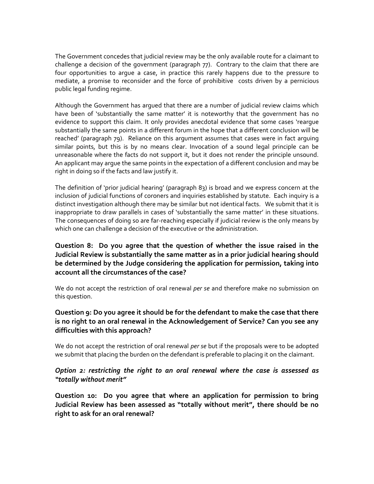The Government concedes that judicial review may be the only available route for a claimant to challenge a decision of the government (paragraph 77). Contrary to the claim that there are four opportunities to argue a case, in practice this rarely happens due to the pressure to mediate, a promise to reconsider and the force of prohibitive costs driven by a pernicious public legal funding regime.

Although the Government has argued that there are a number of judicial review claims which have been of 'substantially the same matter' it is noteworthy that the government has no evidence to support this claim. It only provides anecdotal evidence that some cases 'reargue substantially the same points in a different forum in the hope that a different conclusion will be reached' (paragraph 79). Reliance on this argument assumes that cases were in fact arguing similar points, but this is by no means clear. Invocation of a sound legal principle can be unreasonable where the facts do not support it, but it does not render the principle unsound. An applicant may argue the same points in the expectation of a different conclusion and may be right in doing so if the facts and law justify it.

The definition of 'prior judicial hearing' (paragraph 83) is broad and we express concern at the inclusion of judicial functions of coroners and inquiries established by statute. Each inquiry is a distinct investigation although there may be similar but not identical facts. We submit that it is inappropriate to draw parallels in cases of 'substantially the same matter' in these situations. The consequences of doing so are far-reaching especially if judicial review is the only means by which one can challenge a decision of the executive or the administration.

# **Question 8: Do you agree that the question of whether the issue raised in the Judicial Review is substantially the same matter as in a prior judicial hearing should be determined by the Judge considering the application for permission, taking into account all the circumstances of the case?**

We do not accept the restriction of oral renewal *per se* and therefore make no submission on this question.

## **Question 9: Do you agree it should be for the defendant to make the case that there is no right to an oral renewal in the Acknowledgement of Service? Can you see any difficulties with this approach?**

We do not accept the restriction of oral renewal *per se* but if the proposals were to be adopted we submit that placing the burden on the defendant is preferable to placing it on the claimant.

## *Option 2: restricting the right to an oral renewal where the case is assessed as "totally without merit"*

**Question 10: Do you agree that where an application for permission to bring Judicial Review has been assessed as "totally without merit", there should be no right to ask for an oral renewal?**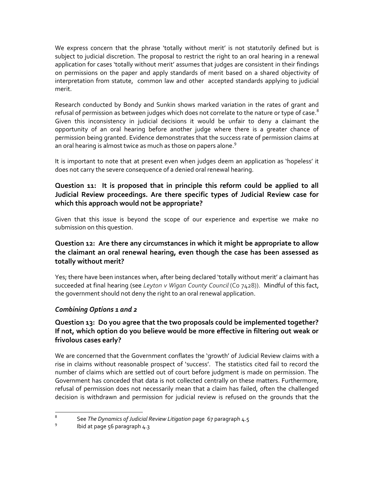We express concern that the phrase 'totally without merit' is not statutorily defined but is subject to judicial discretion. The proposal to restrict the right to an oral hearing in a renewal application for cases 'totally without merit' assumes that judges are consistent in their findings on permissions on the paper and apply standards of merit based on a shared objectivity of interpretation from statute, common law and other accepted standards applying to judicial merit.

Research conducted by Bondy and Sunkin shows marked variation in the rates of grant and refusal of permission as between judges which does not correlate to the nature or type of case. $8$ Given this inconsistency in judicial decisions it would be unfair to deny a claimant the opportunity of an oral hearing before another judge where there is a greater chance of permission being granted. Evidence demonstrates that the success rate of permission claims at an oral hearing is almost twice as much as those on papers alone. $^9$ 

It is important to note that at present even when judges deem an application as 'hopeless' it does not carry the severe consequence of a denied oral renewal hearing.

# **Question 11: It is proposed that in principle this reform could be applied to all Judicial Review proceedings. Are there specific types of Judicial Review case for which this approach would not be appropriate?**

Given that this issue is beyond the scope of our experience and expertise we make no submission on this question.

## **Question 12: Are there any circumstances in which it might be appropriate to allow the claimant an oral renewal hearing, even though the case has been assessed as totally without merit?**

Yes; there have been instances when, after being declared 'totally without merit' a claimant has succeeded at final hearing (see *Leyton v Wigan County Council* (Co 7428)). Mindful of this fact, the government should not deny the right to an oral renewal application.

## *Combining Options 1 and 2*

# **Question 13: Do you agree that the two proposals could be implemented together? If not, which option do you believe would be more effective in filtering out weak or frivolous cases early?**

We are concerned that the Government conflates the 'growth' of Judicial Review claims with a rise in claims without reasonable prospect of 'success'. The statistics cited fail to record the number of claims which are settled out of court before judgment is made on permission. The Government has conceded that data is not collected centrally on these matters. Furthermore, refusal of permission does not necessarily mean that a claim has failed, often the challenged decision is withdrawn and permission for judicial review is refused on the grounds that the

 8 See *The Dynamics of Judicial Review Litigation* page 67 paragraph 4.5

<sup>9</sup> Ibid at page 56 paragraph 4.3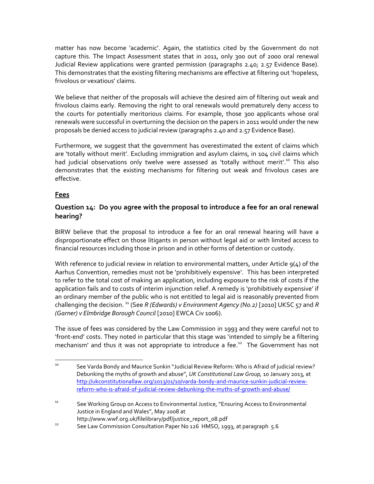matter has now become 'academic'. Again, the statistics cited by the Government do not capture this. The Impact Assessment states that in 2011, only 300 out of 2000 oral renewal Judicial Review applications were granted permission (paragraphs 2.40; 2.57 Evidence Base). This demonstrates that the existing filtering mechanisms are effective at filtering out 'hopeless, frivolous or vexatious' claims.

We believe that neither of the proposals will achieve the desired aim of filtering out weak and frivolous claims early. Removing the right to oral renewals would prematurely deny access to the courts for potentially meritorious claims. For example, those 300 applicants whose oral renewals were successful in overturning the decision on the papers in 2011 would under the new proposals be denied access to judicial review (paragraphs 2.40 and 2.57 Evidence Base).

Furthermore, we suggest that the government has overestimated the extent of claims which are 'totally without merit'. Excluding immigration and asylum claims, in 104 civil claims which had judicial observations only twelve were assessed as 'totally without merit'.<sup>10</sup> This also demonstrates that the existing mechanisms for filtering out weak and frivolous cases are effective.

## **Fees**

# **Question 14: Do you agree with the proposal to introduce a fee for an oral renewal hearing?**

BIRW believe that the proposal to introduce a fee for an oral renewal hearing will have a disproportionate effect on those litigants in person without legal aid or with limited access to financial resources including those in prison and in other forms of detention or custody.

With reference to judicial review in relation to environmental matters, under Article  $q(4)$  of the Aarhus Convention, remedies must not be 'prohibitively expensive'. This has been interpreted to refer to the total cost of making an application, including exposure to the risk of costs if the application fails and to costs of interim injunction relief. A remedy is 'prohibitively expensive' if an ordinary member of the public who is not entitled to legal aid is reasonably prevented from challenging the decision.<sup>11</sup> (See *R (Edwards) v Environment Agency (No.2)* [2010] UKSC 57 and *R (Garner) v Elmbridge Borough Council* [2010] EWCA Civ 1006).

The issue of fees was considered by the Law Commission in 1993 and they were careful not to 'front-end' costs. They noted in particular that this stage was 'intended to simply be a filtering mechanism' and thus it was not appropriate to introduce a fee.<sup>12</sup> The Government has not

<sup>10</sup> <sup>10</sup> See Varda Bondy and Maurice Sunkin "Judicial Review Reform: Who is Afraid of judicial review? Debunking the myths of growth and abuse", *UK Constitutional Law Group,* 10 January 2013*,* at [http://ukconstitutionallaw.org/2013/01/10/varda-bondy-and-maurice-sunkin-judicial-review](http://ukconstitutionallaw.org/2013/01/10/varda-bondy-and-maurice-sunkin-judicial-review-reform-who-is-afraid-of-judicial-review-debunking-the-myths-of-growth-and-abuse/)[reform-who-is-afraid-of-judicial-review-debunking-the-myths-of-growth-and-abuse/](http://ukconstitutionallaw.org/2013/01/10/varda-bondy-and-maurice-sunkin-judicial-review-reform-who-is-afraid-of-judicial-review-debunking-the-myths-of-growth-and-abuse/)

<sup>&</sup>lt;sup>11</sup> See Working Group on Access to Environmental Justice, "Ensuring Access to Environmental Justice in England and Wales", May 2008 at http://www.wwf.org.uk/filelibrary/pdf/justice\_report\_08.pdf

<sup>&</sup>lt;sup>12</sup> See Law Commission Consultation Paper No 126 HMSO, 1993, at paragraph 5.6